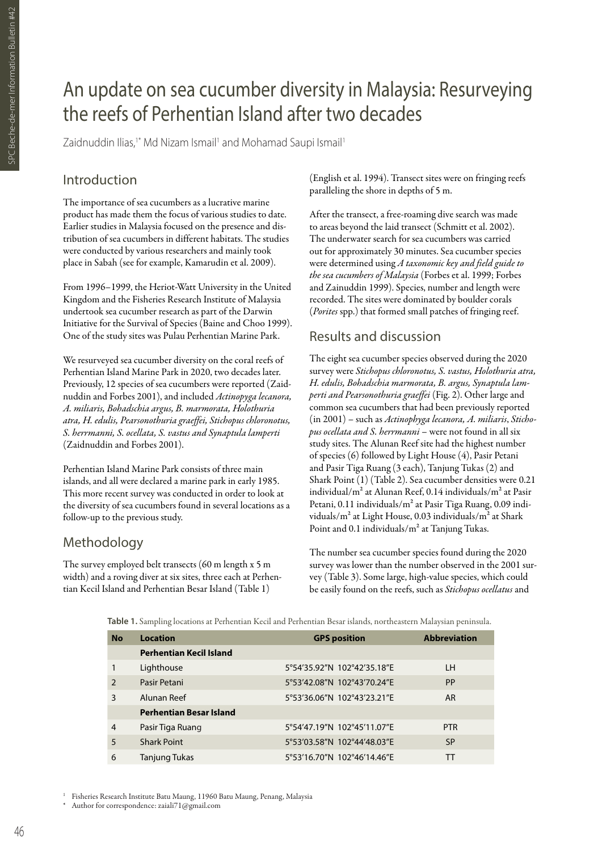# An update on sea cucumber diversity in Malaysia: Resurveying the reefs of Perhentian Island after two decades

Zaidnuddin Ilias,<sup>1\*</sup> Md Nizam Ismail<sup>1</sup> and Mohamad Saupi Ismail<sup>1</sup>

### Introduction

The importance of sea cucumbers as a lucrative marine product has made them the focus of various studies to date. Earlier studies in Malaysia focused on the presence and distribution of sea cucumbers in different habitats. The studies were conducted by various researchers and mainly took place in Sabah (see for example, Kamarudin et al. 2009).

From 1996–1999, the Heriot-Watt University in the United Kingdom and the Fisheries Research Institute of Malaysia undertook sea cucumber research as part of the Darwin Initiative for the Survival of Species (Baine and Choo 1999). One of the study sites was Pulau Perhentian Marine Park.

We resurveyed sea cucumber diversity on the coral reefs of Perhentian Island Marine Park in 2020, two decades later. Previously, 12 species of sea cucumbers were reported (Zaidnuddin and Forbes 2001), and included *Actinopyga lecanora, A. miliaris, Bohadschia argus, B. marmorata, Holothuria atra, H. edulis, Pearsonothuria graeffei, Stichopus chloronotus, S. herrmanni, S. ocellata, S. vastus and Synaptula lamperti*  (Zaidnuddin and Forbes 2001).

Perhentian Island Marine Park consists of three main islands, and all were declared a marine park in early 1985. This more recent survey was conducted in order to look at the diversity of sea cucumbers found in several locations as a follow-up to the previous study.

## Methodology

The survey employed belt transects (60 m length x 5 m width) and a roving diver at six sites, three each at Perhentian Kecil Island and Perhentian Besar Island (Table 1)

(English et al. 1994). Transect sites were on fringing reefs paralleling the shore in depths of 5 m.

After the transect, a free-roaming dive search was made to areas beyond the laid transect (Schmitt et al. 2002). The underwater search for sea cucumbers was carried out for approximately 30 minutes. Sea cucumber species were determined using *A taxonomic key and field guide to the sea cucumbers of Malaysia* (Forbes et al. 1999; Forbes and Zainuddin 1999). Species, number and length were recorded. The sites were dominated by boulder corals (*Porites* spp.) that formed small patches of fringing reef.

## Results and discussion

The eight sea cucumber species observed during the 2020 survey were *Stichopus chloronotus, S. vastus, Holothuria atra, H. edulis, Bohadschia marmorata, B. argus, Synaptula lamperti and Pearsonothuria graeffei* (Fig. 2). Other large and common sea cucumbers that had been previously reported (in 2001) – such as *Actinophyga lecanora, A. miliaris*, *Stichopus ocellata and S. herrmanni* – were not found in all six study sites. The Alunan Reef site had the highest number of species (6) followed by Light House (4), Pasir Petani and Pasir Tiga Ruang (3 each), Tanjung Tukas (2) and Shark Point (1) (Table 2). Sea cucumber densities were 0.21 individual/m² at Alunan Reef, 0.14 individuals/m² at Pasir Petani, 0.11 individuals/m² at Pasir Tiga Ruang, 0.09 individuals/m² at Light House, 0.03 individuals/m² at Shark Point and 0.1 individuals/m² at Tanjung Tukas.

The number sea cucumber species found during the 2020 survey was lower than the number observed in the 2001 survey (Table 3). Some large, high-value species, which could be easily found on the reefs, such as *Stichopus ocellatus* and

**Table 1.** Sampling locations at Perhentian Kecil and Perhentian Besar islands, northeastern Malaysian peninsula.

| <b>No</b> | <b>Location</b>                | <b>GPS position</b>         | <b>Abbreviation</b> |  |
|-----------|--------------------------------|-----------------------------|---------------------|--|
|           | <b>Perhentian Kecil Island</b> |                             |                     |  |
|           | Lighthouse                     | 5°54'35.92"N 102°42'35.18"E | LH                  |  |
| 2         | Pasir Petani                   | 5°53'42.08"N 102°43'70.24"E | PP                  |  |
| 3         | Alunan Reef                    | 5°53'36.06"N 102°43'23.21"E | <b>AR</b>           |  |
|           | <b>Perhentian Besar Island</b> |                             |                     |  |
| 4         | Pasir Tiga Ruang               | 5°54'47.19"N 102°45'11.07"E | <b>PTR</b>          |  |
| 5         | <b>Shark Point</b>             | 5°53'03.58"N 102°44'48.03"E | <b>SP</b>           |  |
| 6         | Tanjung Tukas                  | 5°53'16.70"N 102°46'14.46"E | ТT                  |  |

<sup>1</sup> Fisheries Research Institute Batu Maung, 11960 Batu Maung, Penang, Malaysia

Author for correspondence: zaiali71@gmail.com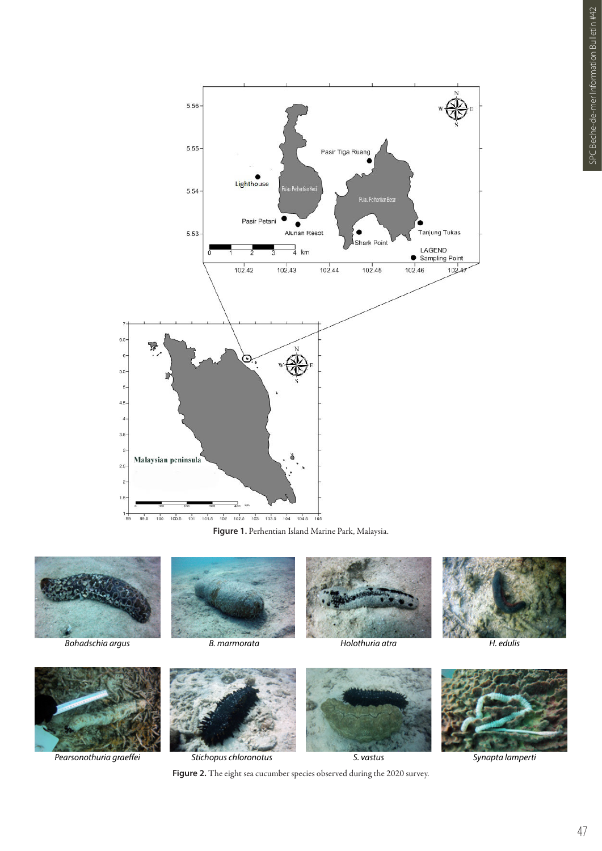

**Figure 1.** Perhentian Island Marine Park, Malaysia.



*Bohadschia argus*









*Pearsonothuria graeffei*



*Stichopus chloronotus*

*S. vastus*



*Synapta lamperti*

Figure 2. The eight sea cucumber species observed during the 2020 survey.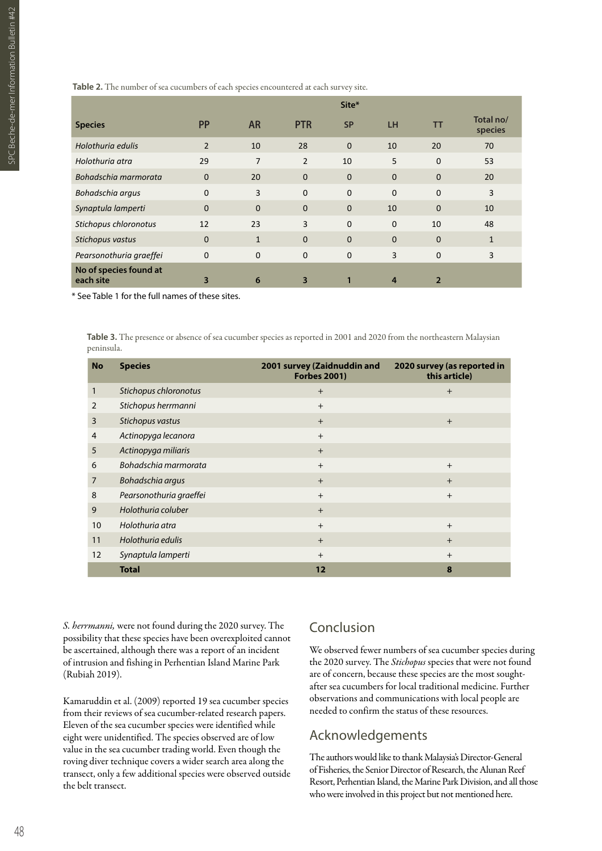**Table 2.** The number of sea cucumbers of each species encountered at each survey site.

|                                     |                |                |                | Site*        |              |                |                      |
|-------------------------------------|----------------|----------------|----------------|--------------|--------------|----------------|----------------------|
| <b>Species</b>                      | <b>PP</b>      | <b>AR</b>      | <b>PTR</b>     | <b>SP</b>    | <b>LH</b>    | <b>TT</b>      | Total no/<br>species |
| Holothuria edulis                   | $\overline{2}$ | 10             | 28             | $\mathbf{0}$ | 10           | 20             | 70                   |
| Holothuria atra                     | 29             | $\overline{7}$ | $\overline{2}$ | 10           | 5            | $\Omega$       | 53                   |
| Bohadschia marmorata                | $\mathbf 0$    | 20             | $\mathbf{0}$   | $\mathbf 0$  | $\mathbf{0}$ | $\Omega$       | 20                   |
| Bohadschia argus                    | $\mathbf 0$    | 3              | $\mathbf{0}$   | $\mathbf 0$  | $\Omega$     | $\Omega$       | 3                    |
| Synaptula lamperti                  | $\mathbf 0$    | $\Omega$       | $\mathbf{0}$   | $\mathbf{0}$ | 10           | $\Omega$       | 10                   |
| Stichopus chloronotus               | 12             | 23             | $\overline{3}$ | $\mathbf 0$  | $\mathbf 0$  | 10             | 48                   |
| Stichopus vastus                    | $\mathbf 0$    | $\mathbf{1}$   | $\mathbf{0}$   | $\mathbf{0}$ | $\mathbf{0}$ | $\mathbf 0$    | $\mathbf{1}$         |
| Pearsonothuria graeffei             | $\mathbf 0$    | $\mathbf{0}$   | $\mathbf{0}$   | $\mathbf 0$  | 3            | $\mathbf 0$    | 3                    |
| No of species found at<br>each site | 3              | 6              | 3              | 1            | 4            | $\overline{2}$ |                      |

\* See Table 1 for the full names of these sites.

**Table 3.** The presence or absence of sea cucumber species as reported in 2001 and 2020 from the northeastern Malaysian peninsula.

| <b>No</b> | <b>Species</b>          | 2001 survey (Zaidnuddin and<br><b>Forbes 2001)</b> | 2020 survey (as reported in<br>this article) |
|-----------|-------------------------|----------------------------------------------------|----------------------------------------------|
| 1         | Stichopus chloronotus   | $+$                                                | $+$                                          |
| 2         | Stichopus herrmanni     | $+$                                                |                                              |
| 3         | Stichopus vastus        | $+$                                                | $+$                                          |
| 4         | Actinopyga lecanora     | $+$                                                |                                              |
| 5         | Actinopyga miliaris     | $+$                                                |                                              |
| 6         | Bohadschia marmorata    | $+$                                                | $^{+}$                                       |
| 7         | Bohadschia argus        | $+$                                                | $+$                                          |
| 8         | Pearsonothuria graeffei | $+$                                                | $^{+}$                                       |
| 9         | Holothuria coluber      | $+$                                                |                                              |
| 10        | Holothuria atra         | $+$                                                | $+$                                          |
| 11        | Holothuria edulis       | $+$                                                | $+$                                          |
| 12        | Synaptula lamperti      | $+$                                                | $^{+}$                                       |
|           | <b>Total</b>            | 12                                                 | 8                                            |

*S. herrmanni,* were not found during the 2020 survey. The possibility that these species have been overexploited cannot be ascertained, although there was a report of an incident of intrusion and fishing in Perhentian Island Marine Park (Rubiah 2019).

Kamaruddin et al. (2009) reported 19 sea cucumber species from their reviews of sea cucumber-related research papers. Eleven of the sea cucumber species were identified while eight were unidentified. The species observed are of low value in the sea cucumber trading world. Even though the roving diver technique covers a wider search area along the transect, only a few additional species were observed outside the belt transect.

#### Conclusion

We observed fewer numbers of sea cucumber species during the 2020 survey. The *Stichopus* species that were not found are of concern, because these species are the most soughtafter sea cucumbers for local traditional medicine. Further observations and communications with local people are needed to confirm the status of these resources.

### Acknowledgements

The authors would like to thank Malaysia's Director-General of Fisheries, the Senior Director of Research, the Alunan Reef Resort, Perhentian Island, the Marine Park Division, and all those who were involved in this project but not mentioned here.